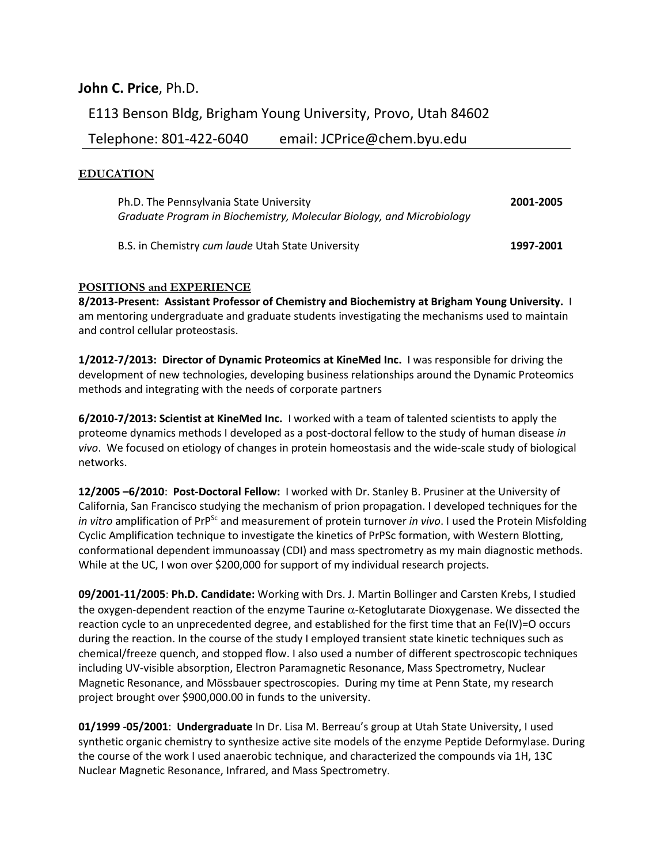# **John C. Price**, Ph.D.

E113 Benson Bldg, Brigham Young University, Provo, Utah 84602

Telephone: 801-422-6040 email: JCPrice@chem.byu.edu

# **EDUCATION**

| Ph.D. The Pennsylvania State University                               | 2001-2005 |
|-----------------------------------------------------------------------|-----------|
| Graduate Program in Biochemistry, Molecular Biology, and Microbiology |           |
| B.S. in Chemistry cum laude Utah State University                     | 1997-2001 |

# **POSITIONS and EXPERIENCE**

**8/2013-Present: Assistant Professor of Chemistry and Biochemistry at Brigham Young University.** I am mentoring undergraduate and graduate students investigating the mechanisms used to maintain and control cellular proteostasis.

**1/2012-7/2013: Director of Dynamic Proteomics at KineMed Inc.** I was responsible for driving the development of new technologies, developing business relationships around the Dynamic Proteomics methods and integrating with the needs of corporate partners

**6/2010-7/2013: Scientist at KineMed Inc.** I worked with a team of talented scientists to apply the proteome dynamics methods I developed as a post-doctoral fellow to the study of human disease *in vivo*. We focused on etiology of changes in protein homeostasis and the wide-scale study of biological networks.

**12/2005 –6/2010**: **Post-Doctoral Fellow:** I worked with Dr. Stanley B. Prusiner at the University of California, San Francisco studying the mechanism of prion propagation. I developed techniques for the *in vitro* amplification of PrP<sup>Sc</sup> and measurement of protein turnover *in vivo*. I used the Protein Misfolding Cyclic Amplification technique to investigate the kinetics of PrPSc formation, with Western Blotting, conformational dependent immunoassay (CDI) and mass spectrometry as my main diagnostic methods. While at the UC, I won over \$200,000 for support of my individual research projects.

**09/2001-11/2005**: **Ph.D. Candidate:** Working with Drs. J. Martin Bollinger and Carsten Krebs, I studied the oxygen-dependent reaction of the enzyme Taurine  $\alpha$ -Ketoglutarate Dioxygenase. We dissected the reaction cycle to an unprecedented degree, and established for the first time that an Fe(IV)=O occurs during the reaction. In the course of the study I employed transient state kinetic techniques such as chemical/freeze quench, and stopped flow. I also used a number of different spectroscopic techniques including UV-visible absorption, Electron Paramagnetic Resonance, Mass Spectrometry, Nuclear Magnetic Resonance, and Mössbauer spectroscopies. During my time at Penn State, my research project brought over \$900,000.00 in funds to the university.

**01/1999 -05/2001**: **Undergraduate** In Dr. Lisa M. Berreau's group at Utah State University, I used synthetic organic chemistry to synthesize active site models of the enzyme Peptide Deformylase. During the course of the work I used anaerobic technique, and characterized the compounds via 1H, 13C Nuclear Magnetic Resonance, Infrared, and Mass Spectrometry.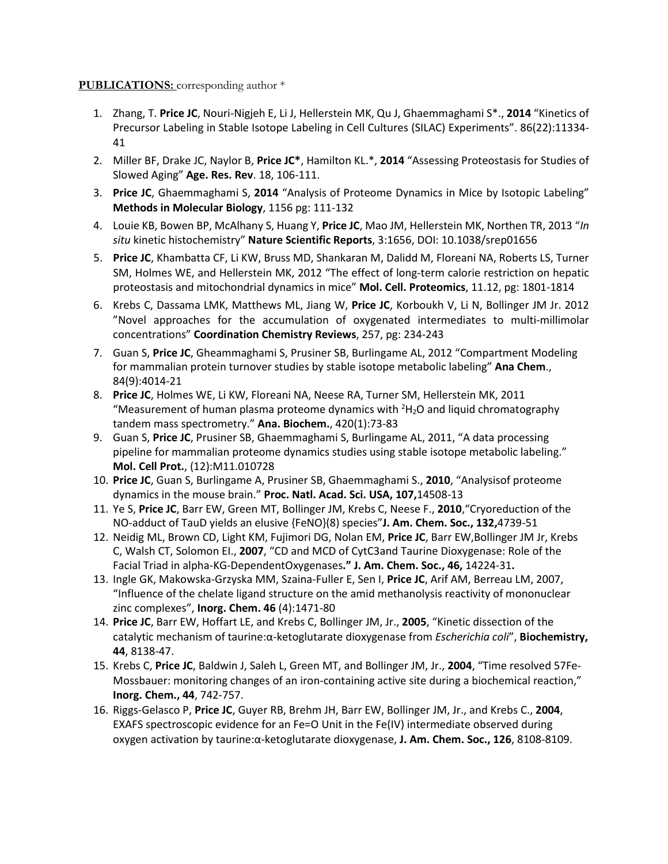## **PUBLICATIONS:** corresponding author \*

- 1. Zhang, T. **Price JC**, Nouri-Nigjeh E, Li J, Hellerstein MK, Qu J, Ghaemmaghami S\*., **2014** "Kinetics of Precursor Labeling in Stable Isotope Labeling in Cell Cultures (SILAC) Experiments". 86(22):11334- 41
- 2. Miller BF, Drake JC, Naylor B, **Price JC\***, Hamilton KL.\*, **2014** "Assessing Proteostasis for Studies of Slowed Aging" **Age. Res. Rev**. 18, 106-111.
- 3. **Price JC**, Ghaemmaghami S, **2014** "Analysis of Proteome Dynamics in Mice by Isotopic Labeling" **Methods in Molecular Biology**, 1156 pg: 111-132
- 4. Louie KB, Bowen BP, McAlhany S, Huang Y, **Price JC**, Mao JM, Hellerstein MK, Northen TR, 2013 "*In situ* kinetic histochemistry" **Nature Scientific Reports**, 3:1656, DOI: 10.1038/srep01656
- 5. **Price JC**, Khambatta CF, Li KW, Bruss MD, Shankaran M, Dalidd M, Floreani NA, Roberts LS, Turner SM, Holmes WE, and Hellerstein MK, 2012 "The effect of long-term calorie restriction on hepatic proteostasis and mitochondrial dynamics in mice" **Mol. Cell. Proteomics**, 11.12, pg: 1801-1814
- 6. Krebs C, Dassama LMK, Matthews ML, Jiang W, **Price JC**, Korboukh V, Li N, Bollinger JM Jr. 2012 "Novel approaches for the accumulation of oxygenated intermediates to multi-millimolar concentrations" **Coordination Chemistry Reviews**, 257, pg: 234-243
- 7. Guan S, **Price JC**, Gheammaghami S, Prusiner SB, Burlingame AL, 2012 "Compartment Modeling for mammalian protein turnover studies by stable isotope metabolic labeling" **Ana Chem**., 84(9):4014-21
- 8. **Price JC**, Holmes WE, Li KW, Floreani NA, Neese RA, Turner SM, Hellerstein MK, 2011 "Measurement of human plasma proteome dynamics with  $2H_2O$  and liquid chromatography tandem mass spectrometry." **Ana. Biochem.**, 420(1):73-83
- 9. Guan S, **Price JC**, Prusiner SB, Ghaemmaghami S, Burlingame AL, 2011, "A data processing pipeline for mammalian proteome dynamics studies using stable isotope metabolic labeling." **Mol. Cell Prot.**, (12):M11.010728
- 10. **Price JC**, Guan S, Burlingame A, Prusiner SB, Ghaemmaghami S., **2010**, "Analysisof proteome dynamics in the mouse brain." **Proc. Natl. Acad. Sci. USA, 107,**14508-13
- 11. Ye S, **Price JC**, Barr EW, Green MT, Bollinger JM, Krebs C, Neese F., **2010**,"Cryoreduction of the NO-adduct of TauD yields an elusive {FeNO}(8) species"**J. Am. Chem. Soc., 132,**4739-51
- 12. Neidig ML, Brown CD, Light KM, Fujimori DG, Nolan EM, **Price JC**, Barr EW,Bollinger JM Jr, Krebs C, Walsh CT, Solomon EI., **2007**, "CD and MCD of CytC3and Taurine Dioxygenase: Role of the Facial Triad in alpha-KG-DependentOxygenases**." J. Am. Chem. Soc., 46,** 14224-31**.**
- 13. Ingle GK, Makowska-Grzyska MM, Szaina-Fuller E, Sen I, **Price JC**, Arif AM, Berreau LM, 2007, "Influence of the chelate ligand structure on the amid methanolysis reactivity of mononuclear zinc complexes", **Inorg. Chem. 46** (4):1471-80
- 14. **Price JC**, Barr EW, Hoffart LE, and Krebs C, Bollinger JM, Jr., **2005**, "Kinetic dissection of the catalytic mechanism of taurine:α-ketoglutarate dioxygenase from *Escherichia coli*", **Biochemistry, 44**, 8138-47.
- 15. Krebs C, **Price JC**, Baldwin J, Saleh L, Green MT, and Bollinger JM, Jr., **2004**, "Time resolved 57Fe-Mossbauer: monitoring changes of an iron-containing active site during a biochemical reaction," **Inorg. Chem., 44**, 742-757.
- 16. Riggs-Gelasco P, **Price JC**, Guyer RB, Brehm JH, Barr EW, Bollinger JM, Jr., and Krebs C., **2004**, EXAFS spectroscopic evidence for an Fe=O Unit in the Fe(IV) intermediate observed during oxygen activation by taurine:α-ketoglutarate dioxygenase, **J. Am. Chem. Soc., 126**, 8108-8109.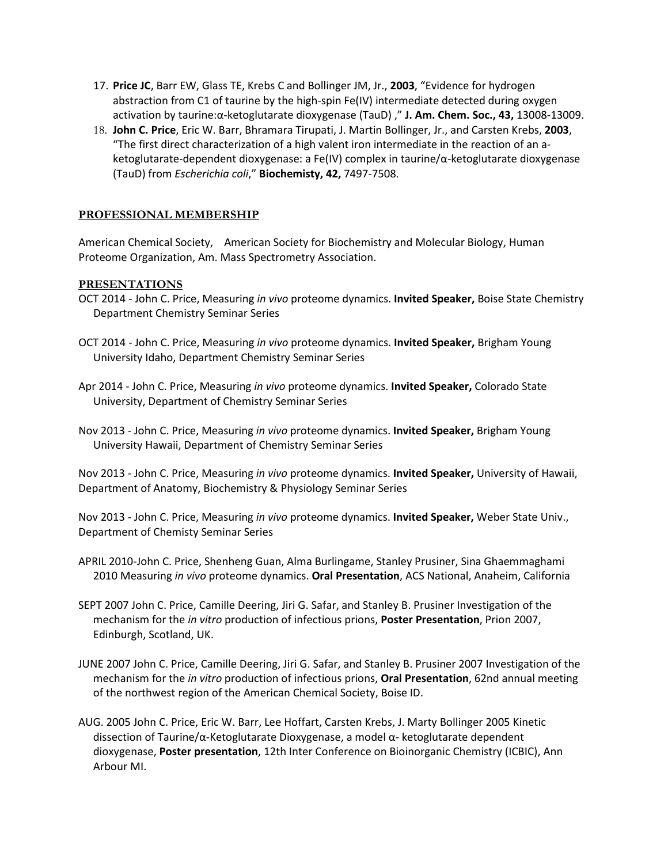- 17. **Price JC**, Barr EW, Glass TE, Krebs C and Bollinger JM, Jr., **2003**, "Evidence for hydrogen abstraction from C1 of taurine by the high-spin Fe(IV) intermediate detected during oxygen activation by taurine:α-ketoglutarate dioxygenase (TauD) ," **J. Am. Chem. Soc., 43,** 13008-13009.
- 18. **John C. Price**, Eric W. Barr, Bhramara Tirupati, J. Martin Bollinger, Jr., and Carsten Krebs, **2003**, "The first direct characterization of a high valent iron intermediate in the reaction of an aketoglutarate-dependent dioxygenase: a Fe(IV) complex in taurine/α-ketoglutarate dioxygenase (TauD) from *Escherichia coli*," **Biochemisty, 42,** 7497-7508.

# **PROFESSIONAL MEMBERSHIP**

American Chemical Society, American Society for Biochemistry and Molecular Biology, Human Proteome Organization, Am. Mass Spectrometry Association.

## **PRESENTATIONS**

- OCT 2014 John C. Price, Measuring *in vivo* proteome dynamics. **Invited Speaker,** Boise State Chemistry Department Chemistry Seminar Series
- OCT 2014 John C. Price, Measuring *in vivo* proteome dynamics. **Invited Speaker,** Brigham Young University Idaho, Department Chemistry Seminar Series
- Apr 2014 John C. Price, Measuring *in vivo* proteome dynamics. **Invited Speaker,** Colorado State University, Department of Chemistry Seminar Series
- Nov 2013 John C. Price, Measuring *in vivo* proteome dynamics. **Invited Speaker,** Brigham Young University Hawaii, Department of Chemistry Seminar Series

Nov 2013 - John C. Price, Measuring *in vivo* proteome dynamics. **Invited Speaker,** University of Hawaii, Department of Anatomy, Biochemistry & Physiology Seminar Series

Nov 2013 - John C. Price, Measuring *in vivo* proteome dynamics. **Invited Speaker,** Weber State Univ., Department of Chemisty Seminar Series

- APRIL 2010-John C. Price, Shenheng Guan, Alma Burlingame, Stanley Prusiner, Sina Ghaemmaghami 2010 Measuring *in vivo* proteome dynamics. **Oral Presentation**, ACS National, Anaheim, California
- SEPT 2007 John C. Price, Camille Deering, Jiri G. Safar, and Stanley B. Prusiner Investigation of the mechanism for the *in vitro* production of infectious prions, **Poster Presentation**, Prion 2007, Edinburgh, Scotland, UK.
- JUNE 2007 John C. Price, Camille Deering, Jiri G. Safar, and Stanley B. Prusiner 2007 Investigation of the mechanism for the *in vitro* production of infectious prions, **Oral Presentation**, 62nd annual meeting of the northwest region of the American Chemical Society, Boise ID.
- AUG. 2005 John C. Price, Eric W. Barr, Lee Hoffart, Carsten Krebs, J. Marty Bollinger 2005 Kinetic dissection of Taurine/α-Ketoglutarate Dioxygenase, a model α- ketoglutarate dependent dioxygenase, **Poster presentation**, 12th Inter Conference on Bioinorganic Chemistry (ICBIC), Ann Arbour MI.